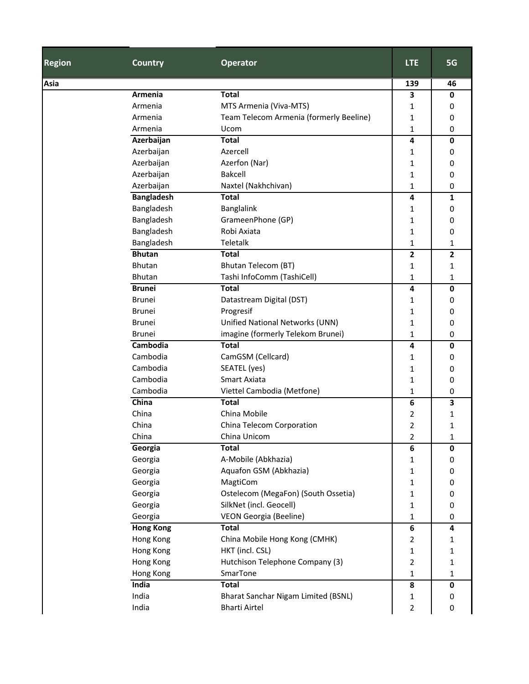| <b>Region</b> | <b>Country</b>    | <b>Operator</b>                         | <b>LTE</b>       | 5G           |
|---------------|-------------------|-----------------------------------------|------------------|--------------|
| Asia          |                   |                                         | 139              | 46           |
|               | Armenia           | <b>Total</b>                            | 3                | 0            |
|               | Armenia           | MTS Armenia (Viva-MTS)                  | 1                | 0            |
|               | Armenia           | Team Telecom Armenia (formerly Beeline) | 1                | 0            |
|               | Armenia           | Ucom                                    | 1                | 0            |
|               | Azerbaijan        | <b>Total</b>                            | 4                | 0            |
|               | Azerbaijan        | Azercell                                | 1                | 0            |
|               | Azerbaijan        | Azerfon (Nar)                           | 1                | 0            |
|               | Azerbaijan        | <b>Bakcell</b>                          | 1                | 0            |
|               | Azerbaijan        | Naxtel (Nakhchivan)                     | 1                | 0            |
|               | <b>Bangladesh</b> | <b>Total</b>                            | 4                | 1            |
|               | Bangladesh        | Banglalink                              | 1                | 0            |
|               | Bangladesh        | GrameenPhone (GP)                       | 1                | 0            |
|               | Bangladesh        | Robi Axiata                             | 1                | 0            |
|               | Bangladesh        | Teletalk                                | 1                | 1            |
|               | <b>Bhutan</b>     | <b>Total</b>                            | 2                | $\mathbf{2}$ |
|               | <b>Bhutan</b>     | <b>Bhutan Telecom (BT)</b>              | 1                | 1            |
|               | <b>Bhutan</b>     | Tashi InfoComm (TashiCell)              | 1                | 1            |
|               | <b>Brunei</b>     | <b>Total</b>                            | 4                | 0            |
|               | <b>Brunei</b>     | Datastream Digital (DST)                | 1                | 0            |
|               | <b>Brunei</b>     | Progresif                               | 1                | 0            |
|               | <b>Brunei</b>     | Unified National Networks (UNN)         | 1                | 0            |
|               | <b>Brunei</b>     | imagine (formerly Telekom Brunei)       | 1                | 0            |
|               | Cambodia          | <b>Total</b>                            | 4                | 0            |
|               | Cambodia          | CamGSM (Cellcard)                       | 1                | 0            |
|               | Cambodia          | SEATEL (yes)                            | 1                | 0            |
|               | Cambodia          | Smart Axiata                            | 1                | 0            |
|               | Cambodia          | Viettel Cambodia (Metfone)              | 1                | 0            |
|               | China             | <b>Total</b>                            | 6                | 3            |
|               | China             | China Mobile                            | 2                | 1            |
|               | China             | China Telecom Corporation               | 2                | 1            |
|               | China             | China Unicom                            | 2                | 1            |
|               | Georgia           | <b>Total</b>                            | 6                | $\mathbf 0$  |
|               | Georgia           | A-Mobile (Abkhazia)                     | 1                | 0            |
|               | Georgia           | Aquafon GSM (Abkhazia)                  | 1                | 0            |
|               | Georgia           | MagtiCom                                | 1                | 0            |
|               | Georgia           | Ostelecom (MegaFon) (South Ossetia)     | 1                | 0            |
|               | Georgia           | SilkNet (incl. Geocell)                 | 1                | 0            |
|               | Georgia           | VEON Georgia (Beeline)                  | 1                | 0            |
|               | <b>Hong Kong</b>  | <b>Total</b>                            | $\boldsymbol{6}$ | 4            |
|               | Hong Kong         | China Mobile Hong Kong (CMHK)           | 2                | 1            |
|               | Hong Kong         | HKT (incl. CSL)                         | 1                | 1            |
|               | Hong Kong         | Hutchison Telephone Company (3)         | 2                | 1            |
|               | Hong Kong         | SmarTone                                | 1                | 1            |
|               | India             | <b>Total</b>                            | 8                | $\mathbf 0$  |
|               | India             | Bharat Sanchar Nigam Limited (BSNL)     | 1                | 0            |
|               | India             | <b>Bharti Airtel</b>                    | 2                | 0            |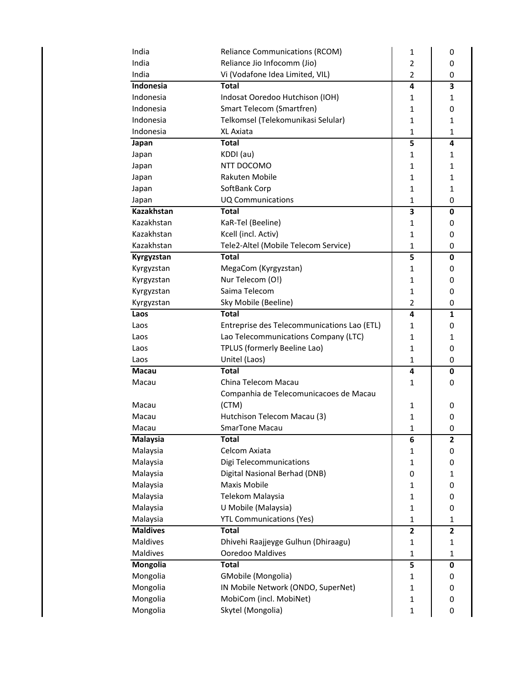| India           | <b>Reliance Communications (RCOM)</b>       | 1              | 0            |
|-----------------|---------------------------------------------|----------------|--------------|
| India           | Reliance Jio Infocomm (Jio)                 |                | 0            |
| India           | Vi (Vodafone Idea Limited, VIL)             | $\overline{2}$ | 0            |
| Indonesia       | <b>Total</b>                                | 4              | 3            |
| Indonesia       | Indosat Ooredoo Hutchison (IOH)             | 1              | 1            |
| Indonesia       | Smart Telecom (Smartfren)                   | 1              | 0            |
| Indonesia       | Telkomsel (Telekomunikasi Selular)          | $\mathbf{1}$   | 1            |
| Indonesia       | <b>XL Axiata</b>                            | $\mathbf{1}$   | 1            |
| Japan           | <b>Total</b>                                | 5              | 4            |
| Japan           | KDDI (au)                                   | $\mathbf{1}$   | $\mathbf{1}$ |
| Japan           | NTT DOCOMO                                  | 1              | 1            |
| Japan           | Rakuten Mobile                              | $\mathbf{1}$   | 1            |
| Japan           | SoftBank Corp                               | $\mathbf{1}$   | 1            |
| Japan           | <b>UQ Communications</b>                    | $\mathbf{1}$   | 0            |
| Kazakhstan      | <b>Total</b>                                | 3              | $\mathbf 0$  |
| Kazakhstan      | KaR-Tel (Beeline)                           | 1              | 0            |
| Kazakhstan      | Kcell (incl. Activ)                         | $\mathbf{1}$   | 0            |
| Kazakhstan      | Tele2-Altel (Mobile Telecom Service)        | $\mathbf{1}$   | 0            |
| Kyrgyzstan      | <b>Total</b>                                | 5              | $\mathbf 0$  |
| Kyrgyzstan      | MegaCom (Kyrgyzstan)                        | $\mathbf{1}$   | 0            |
| Kyrgyzstan      | Nur Telecom (O!)                            | 1              | 0            |
| Kyrgyzstan      | Saima Telecom                               | $\mathbf{1}$   | 0            |
| Kyrgyzstan      | Sky Mobile (Beeline)                        | $\overline{2}$ | 0            |
| Laos            | <b>Total</b>                                | 4              | $\mathbf{1}$ |
| Laos            | Entreprise des Telecommunications Lao (ETL) | $\mathbf{1}$   | 0            |
| Laos            | Lao Telecommunications Company (LTC)        | 1              | 1            |
|                 |                                             |                |              |
| Laos            | TPLUS (formerly Beeline Lao)                | $\mathbf{1}$   | 0            |
| Laos            | Unitel (Laos)                               | $\mathbf{1}$   | 0            |
| <b>Macau</b>    | <b>Total</b>                                | 4              | $\mathbf 0$  |
| Macau           | China Telecom Macau                         | 1              | 0            |
|                 | Companhia de Telecomunicacoes de Macau      |                |              |
| Macau           | (CTM)                                       | 1              | 0            |
| Macau           | Hutchison Telecom Macau (3)                 | 1              | 0            |
| Macau           | <b>SmarTone Macau</b>                       | $\mathbf{1}$   | $\mathbf 0$  |
| Malaysia        | <b>Total</b>                                | 6              | 2            |
| Malaysia        | Celcom Axiata                               | 1              | 0            |
| Malaysia        | Digi Telecommunications                     | $\mathbf{1}$   | 0            |
| Malaysia        | Digital Nasional Berhad (DNB)               | 0              | 1            |
| Malaysia        | Maxis Mobile                                | $\mathbf{1}$   | 0            |
| Malaysia        | Telekom Malaysia                            | $\mathbf{1}$   | 0            |
| Malaysia        | U Mobile (Malaysia)                         | $\mathbf{1}$   | $\pmb{0}$    |
| Malaysia        | <b>YTL Communications (Yes)</b>             | $\mathbf{1}$   | 1            |
| <b>Maldives</b> | <b>Total</b>                                | $\mathbf{z}$   | $\mathbf{2}$ |
| Maldives        | Dhivehi Raajjeyge Gulhun (Dhiraagu)         | $\mathbf{1}$   | $\mathbf 1$  |
| Maldives        | Ooredoo Maldives                            | $\mathbf{1}$   | 1            |
| Mongolia        | <b>Total</b>                                | 5              | 0            |
| Mongolia        | GMobile (Mongolia)                          | 1              | 0            |
| Mongolia        | IN Mobile Network (ONDO, SuperNet)          | $\mathbf{1}$   | 0            |
| Mongolia        | MobiCom (incl. MobiNet)                     | $\mathbf 1$    | 0            |
| Mongolia        | Skytel (Mongolia)                           | $\mathbf{1}$   | 0            |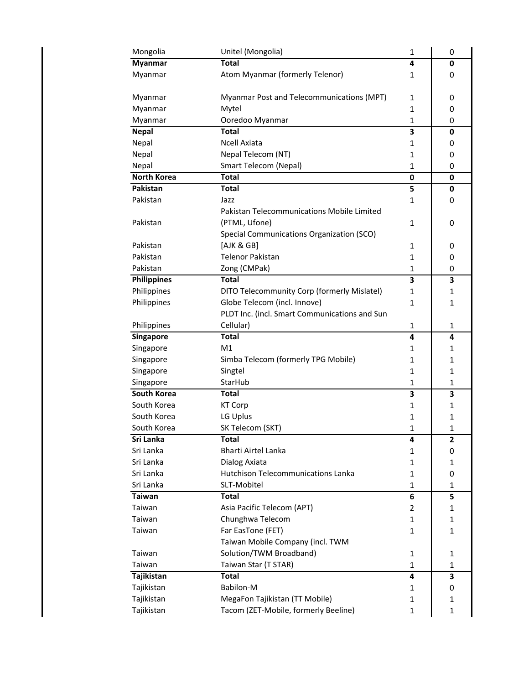| Mongolia           | Unitel (Mongolia)                             | 1                 | 0            |
|--------------------|-----------------------------------------------|-------------------|--------------|
| <b>Myanmar</b>     | <b>Total</b>                                  | 4                 | 0            |
| Myanmar            | Atom Myanmar (formerly Telenor)               | 1                 | 0            |
|                    |                                               |                   |              |
| Myanmar            | Myanmar Post and Telecommunications (MPT)     | 1                 | 0            |
| Myanmar            | Mytel                                         | $\mathbf{1}$      | 0            |
| Myanmar            | Ooredoo Myanmar                               | $\mathbf{1}$<br>0 |              |
| <b>Nepal</b>       | <b>Total</b>                                  | 3                 | 0            |
| Nepal              | <b>Ncell Axiata</b>                           | $\mathbf{1}$      | 0            |
| Nepal              | Nepal Telecom (NT)                            | 1<br>0            |              |
| Nepal              | Smart Telecom (Nepal)                         | 1                 | 0            |
| <b>North Korea</b> | <b>Total</b>                                  | $\bf{0}$          | 0            |
| Pakistan           | <b>Total</b>                                  | 5                 | 0            |
| Pakistan           | Jazz                                          | 1                 | 0            |
|                    | Pakistan Telecommunications Mobile Limited    |                   |              |
| Pakistan           | (PTML, Ufone)                                 | 1                 | 0            |
|                    | Special Communications Organization (SCO)     |                   |              |
| Pakistan           | [AJK & GB]                                    | 1                 | 0            |
| Pakistan           | <b>Telenor Pakistan</b>                       | 1                 | 0            |
| Pakistan           | Zong (CMPak)                                  | 1                 | 0            |
| <b>Philippines</b> | <b>Total</b>                                  | 3                 | 3            |
| Philippines        | DITO Telecommunity Corp (formerly Mislatel)   | 1                 | 1            |
| Philippines        | Globe Telecom (incl. Innove)                  | $\mathbf{1}$      | 1            |
|                    | PLDT Inc. (incl. Smart Communications and Sun |                   |              |
| Philippines        | Cellular)                                     | 1                 | 1            |
| Singapore          | <b>Total</b>                                  | 4                 | 4            |
|                    |                                               |                   |              |
|                    |                                               |                   |              |
| Singapore          | M1                                            | 1                 | 1            |
| Singapore          | Simba Telecom (formerly TPG Mobile)           | $\mathbf{1}$      | 1            |
| Singapore          | Singtel                                       | 1                 | $\mathbf{1}$ |
| Singapore          | StarHub                                       | 1                 | 1            |
| South Korea        | Total                                         | 3                 | 3            |
| South Korea        | <b>KT Corp</b>                                | 1                 | 1            |
| South Korea        | LG Uplus                                      | 1                 | 1            |
| South Korea        | SK Telecom (SKT)                              | 1                 | $\mathbf{1}$ |
| Sri Lanka          | Total                                         | 4                 | 2            |
| Sri Lanka          | Bharti Airtel Lanka                           | 1                 | 0            |
| Sri Lanka          | Dialog Axiata                                 | $\mathbf{1}$      | 1            |
| Sri Lanka          | Hutchison Telecommunications Lanka            | $\mathbf{1}$      | 0            |
| Sri Lanka          | SLT-Mobitel                                   | $\mathbf{1}$      | 1            |
| <b>Taiwan</b>      | <b>Total</b>                                  | 6                 | 5            |
| Taiwan             | Asia Pacific Telecom (APT)                    | 2                 | 1            |
| Taiwan             | Chunghwa Telecom                              | $\mathbf{1}$      | 1            |
| Taiwan             | Far EasTone (FET)                             | 1                 | 1            |
|                    | Taiwan Mobile Company (incl. TWM              |                   |              |
| Taiwan             | Solution/TWM Broadband)                       | 1                 | 1            |
| Taiwan             | Taiwan Star (T STAR)                          | 1                 | 1            |
| Tajikistan         | <b>Total</b>                                  | 4                 | 3            |
| Tajikistan         | Babilon-M                                     | 1                 | 0            |
| Tajikistan         | MegaFon Tajikistan (TT Mobile)                | $\mathbf{1}$      | 1            |